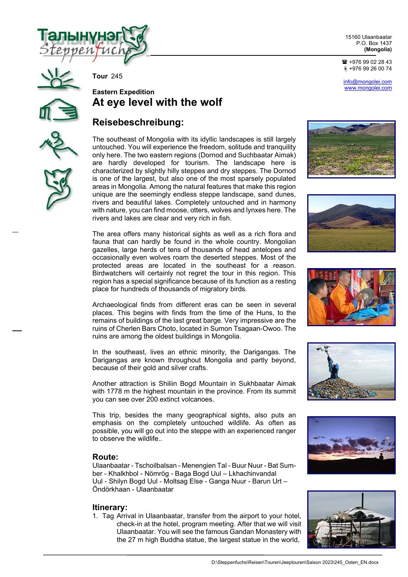

15160 Ulaanbaatar P.O. Box 1437 **(Mongolia)** 

 $\bullet$  +976 99 02 28 43 +976 99 26 00 74

info@mongolei.com www.mongolei.com





**Tour** 245

# **Eastern Expedition At eye level with the wolf**

# **Reisebeschreibung:**

The southeast of Mongolia with its idyllic landscapes is still largely untouched. You will experience the freedom, solitude and tranquility only here. The two eastern regions (Dornod and Suchbaatar Aimak) are hardly developed for tourism. The landscape here is characterized by slightly hilly steppes and dry steppes. The Dornod is one of the largest, but also one of the most sparsely populated areas in Mongolia. Among the natural features that make this region unique are the seemingly endless steppe landscape, sand dunes, rivers and beautiful lakes. Completely untouched and in harmony with nature, you can find moose, otters, wolves and lynxes here. The rivers and lakes are clear and very rich in fish.

The area offers many historical sights as well as a rich flora and fauna that can hardly be found in the whole country. Mongolian gazelles, large herds of tens of thousands of head antelopes and occasionally even wolves roam the deserted steppes. Most of the protected areas are located in the southeast for a reason. Birdwatchers will certainly not regret the tour in this region. This region has a special significance because of its function as a resting place for hundreds of thousands of migratory birds.

Archaeological finds from different eras can be seen in several places. This begins with finds from the time of the Huns, to the remains of buildings of the last great barge. Very impressive are the ruins of Cherlen Bars Choto, located in Sumon Tsagaan-Owoo. The ruins are among the oldest buildings in Mongolia.

In the southeast, lives an ethnic minority, the Darigangas. The Darigangas are known throughout Mongolia and partly beyond, because of their gold and silver crafts.

Another attraction is Shiliin Bogd Mountain in Sukhbaatar Aimak with 1778 m the highest mountain in the province. From its summit you can see over 200 extinct volcanoes.

This trip, besides the many geographical sights, also puts an emphasis on the completely untouched wildlife. As often as possible, you will go out into the steppe with an experienced ranger to observe the wildlife..

# **Route:**

Ulaanbaatar - Tschoilbalsan - Menengien Tal - Buur Nuur - Bat Sumber - Khalkhbol - Nömrög - Baga Bogd Uul – Lkhachinvandal Uul - Shilyn Bogd Uul - Moltsag Else - Ganga Nuur - Barun Urt – Öndörkhaan - Ulaanbaatar

# **Itinerary:**

1. Tag Arrival in Ulaanbaatar, transfer from the airport to your hotel, check-in at the hotel, program meeting. After that we will visit Ulaanbaatar. You will see the famous Gandan Monastery with the 27 m high Buddha statue, the largest statue in the world,











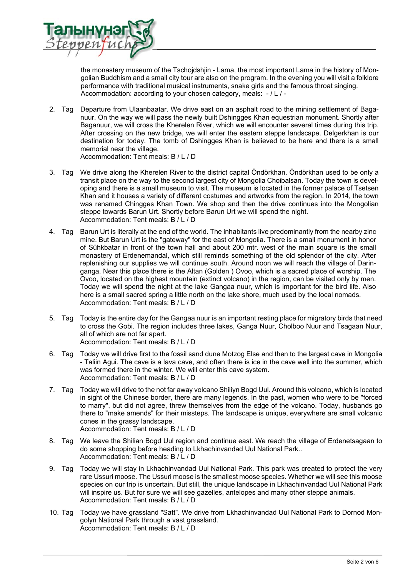

the monastery museum of the Tschojdshjin - Lama, the most important Lama in the history of Mongolian Buddhism and a small city tour are also on the program. In the evening you will visit a folklore performance with traditional musical instruments, snake girls and the famous throat singing. Accommodation: according to your chosen category, meals: - / L / -

- 2. Tag Departure from Ulaanbaatar. We drive east on an asphalt road to the mining settlement of Baganuur. On the way we will pass the newly built Dshingges Khan equestrian monument. Shortly after Baganuur, we will cross the Kherelen River, which we will encounter several times during this trip. After crossing on the new bridge, we will enter the eastern steppe landscape. Delgerkhan is our destination for today. The tomb of Dshingges Khan is believed to be here and there is a small memorial near the village. Accommodation: Tent meals: B / L / D
- 3. Tag We drive along the Kherelen River to the district capital Öndörkhan. Öndörkhan used to be only a transit place on the way to the second largest city of Mongolia Choibalsan. Today the town is developing and there is a small museum to visit. The museum is located in the former palace of Tsetsen Khan and it houses a variety of different costumes and artworks from the region. In 2014, the town was renamed Chingges Khan Town. We shop and then the drive continues into the Mongolian steppe towards Barun Urt. Shortly before Barun Urt we will spend the night. Accommodation: Tent meals: B / L / D
- 4. Tag Barun Urt is literally at the end of the world. The inhabitants live predominantly from the nearby zinc mine. But Barun Urt is the "gateway" for the east of Mongolia. There is a small monument in honor of Sühkbatar in front of the town hall and about 200 mtr. west of the main square is the small monastery of Erdenemandal, which still reminds something of the old splendor of the city. After replenishing our supplies we will continue south. Around noon we will reach the village of Daringanga. Near this place there is the Altan (Golden ) Ovoo, which is a sacred place of worship. The Ovoo, located on the highest mountain (extinct volcano) in the region, can be visited only by men. Today we will spend the night at the lake Gangaa nuur, which is important for the bird life. Also here is a small sacred spring a little north on the lake shore, much used by the local nomads. Accommodation: Tent meals: B / L / D
- 5. Tag Today is the entire day for the Gangaa nuur is an important resting place for migratory birds that need to cross the Gobi. The region includes three lakes, Ganga Nuur, Cholboo Nuur and Tsagaan Nuur, all of which are not far apart. Accommodation: Tent meals: B / L / D
- 6. Tag Today we will drive first to the fossil sand dune Motzog Else and then to the largest cave in Mongolia - Taliin Agui. The cave is a lava cave, and often there is ice in the cave well into the summer, which was formed there in the winter. We will enter this cave system. Accommodation: Tent meals: B / L / D
- 7. Tag Today we will drive to the not far away volcano Shiliyn Bogd Uul. Around this volcano, which is located in sight of the Chinese border, there are many legends. In the past, women who were to be "forced to marry", but did not agree, threw themselves from the edge of the volcano. Today, husbands go there to "make amends" for their missteps. The landscape is unique, everywhere are small volcanic cones in the grassy landscape. Accommodation: Tent meals: B / L / D
- 8. Tag We leave the Shilian Bogd Uul region and continue east. We reach the village of Erdenetsagaan to do some shopping before heading to Lkhachinvandad Uul National Park.. Accommodation: Tent meals: B / L / D
- 9. Tag Today we will stay in Lkhachinvandad Uul National Park. This park was created to protect the very rare Ussuri moose. The Ussuri moose is the smallest moose species. Whether we will see this moose species on our trip is uncertain. But still, the unique landscape in Lkhachinvandad Uul National Park will inspire us. But for sure we will see gazelles, antelopes and many other steppe animals. Accommodation: Tent meals: B / L / D
- 10. Tag Today we have grassland "Satt". We drive from Lkhachinvandad Uul National Park to Dornod Mongolyn National Park through a vast grassland. Accommodation: Tent meals: B / L / D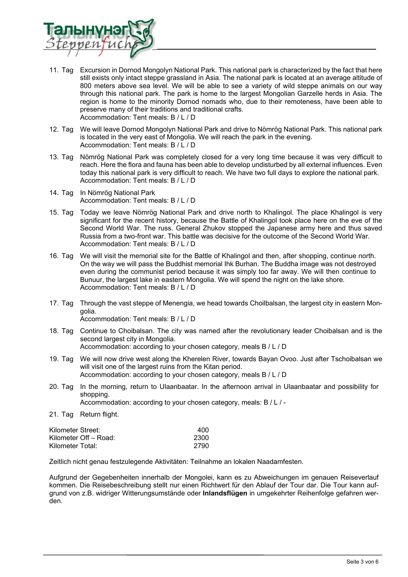

- 11. Tag Excursion in Dornod Mongolyn National Park. This national park is characterized by the fact that here still exists only intact steppe grassland in Asia. The national park is located at an average altitude of 800 meters above sea level. We will be able to see a variety of wild steppe animals on our way through this national park. The park is home to the largest Mongolian Garzelle herds in Asia. The region is home to the minority Dornod nomads who, due to their remoteness, have been able to preserve many of their traditions and traditional crafts. Accommodation: Tent meals: B / L / D
- 12. Tag We will leave Dornod Mongolyn National Park and drive to Nömrög National Park. This national park is located in the very east of Mongolia. We will reach the park in the evening. Accommodation: Tent meals: B / L / D
- 13. Tag Nömrög National Park was completely closed for a very long time because it was very difficult to reach. Here the flora and fauna has been able to develop undisturbed by all external influences. Even today this national park is very difficult to reach. We have two full days to explore the national park. Accommodation: Tent meals: B / L / D
- 14. Tag In Nömrög National Park Accommodation: Tent meals: B / L / D
- 15. Tag Today we leave Nömrög National Park and drive north to Khalingol. The place Khalingol is very significant for the recent history, because the Battle of Khalingol took place here on the eve of the Second World War. The russ. General Zhukov stopped the Japanese army here and thus saved Russia from a two-front war. This battle was decisive for the outcome of the Second World War. Accommodation: Tent meals: B / L / D
- 16. Tag We will visit the memorial site for the Battle of Khalingol and then, after shopping, continue north. On the way we will pass the Buddhist memorial Ihk Burhan. The Buddha image was not destroyed even during the communist period because it was simply too far away. We will then continue to Bunuur, the largest lake in eastern Mongolia. We will spend the night on the lake shore. Accommodation: Tent meals: B / L / D
- 17. Tag Through the vast steppe of Menengia, we head towards Choilbalsan, the largest city in eastern Mongolia.
	- Accommodation: Tent meals: B / L / D
- 18. Tag Continue to Choibalsan. The city was named after the revolutionary leader Choibalsan and is the second largest city in Mongolia. Accommodation: according to your chosen category, meals B / L / D
- 19. Tag We will now drive west along the Kherelen River, towards Bayan Ovoo. Just after Tschoibalsan we will visit one of the largest ruins from the Kitan period. Accommodation: according to your chosen category, meals B / L / D
- 20. Tag In the morning, return to Ulaanbaatar. In the afternoon arrival in Ulaanbaatar and possibility for shopping.

Accommodation: according to your chosen category, meals: B / L / -

21. Tag Return flight.

| Kilometer Street:     | 400  |
|-----------------------|------|
| Kilometer Off – Road: | 2300 |
| Kilometer Total:      | 2790 |

Zeitlich nicht genau festzulegende Aktivitäten: Teilnahme an lokalen Naadamfesten.

Aufgrund der Gegebenheiten innerhalb der Mongolei, kann es zu Abweichungen im genauen Reiseverlauf kommen. Die Reisebeschreibung stellt nur einen Richtwert für den Ablauf der Tour dar. Die Tour kann aufgrund von z.B. widriger Witterungsumstände oder **Inlandsflügen** in umgekehrter Reihenfolge gefahren werden.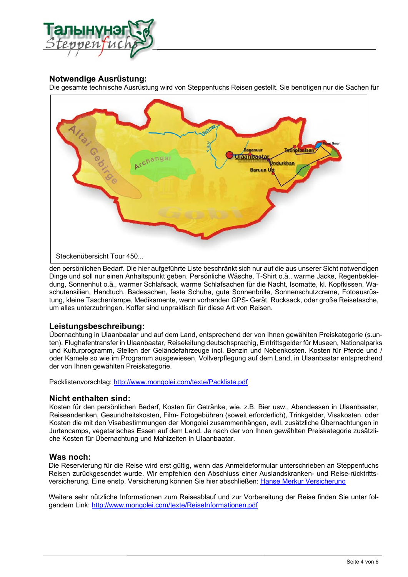

# **Notwendige Ausrüstung:**

Die gesamte technische Ausrüstung wird von Steppenfuchs Reisen gestellt. Sie benötigen nur die Sachen für

![](_page_3_Figure_3.jpeg)

den persönlichen Bedarf. Die hier aufgeführte Liste beschränkt sich nur auf die aus unserer Sicht notwendigen Dinge und soll nur einen Anhaltspunkt geben. Persönliche Wäsche, T-Shirt o.ä., warme Jacke, Regenbekleidung, Sonnenhut o.ä., warmer Schlafsack, warme Schlafsachen für die Nacht, Isomatte, kl. Kopfkissen, Waschutensilien, Handtuch, Badesachen, feste Schuhe, gute Sonnenbrille, Sonnenschutzcreme, Fotoausrüstung, kleine Taschenlampe, Medikamente, wenn vorhanden GPS- Gerät. Rucksack, oder große Reisetasche, um alles unterzubringen. Koffer sind unpraktisch für diese Art von Reisen.

# **Leistungsbeschreibung:**

Übernachtung in Ulaanbaatar und auf dem Land, entsprechend der von Ihnen gewählten Preiskategorie (s.unten). Flughafentransfer in Ulaanbaatar, Reiseleitung deutschsprachig, Eintrittsgelder für Museen, Nationalparks und Kulturprogramm, Stellen der Geländefahrzeuge incl. Benzin und Nebenkosten. Kosten für Pferde und / oder Kamele so wie im Programm ausgewiesen, Vollverpflegung auf dem Land, in Ulaanbaatar entsprechend der von Ihnen gewählten Preiskategorie.

Packlistenvorschlag: http://www.mongolei.com/texte/Packliste.pdf

# **Nicht enthalten sind:**

Kosten für den persönlichen Bedarf, Kosten für Getränke, wie. z.B. Bier usw., Abendessen in Ulaanbaatar, Reiseandenken, Gesundheitskosten, Film- Fotogebühren (soweit erforderlich), Trinkgelder, Visakosten, oder Kosten die mit den Visabestimmungen der Mongolei zusammenhängen, evtl. zusätzliche Übernachtungen in Jurtencamps, vegetarisches Essen auf dem Land. Je nach der von Ihnen gewählten Preiskategorie zusätzliche Kosten für Übernachtung und Mahlzeiten in Ulaanbaatar.

# **Was noch:**

Die Reservierung für die Reise wird erst gültig, wenn das Anmeldeformular unterschrieben an Steppenfuchs Reisen zurückgesendet wurde. Wir empfehlen den Abschluss einer Auslandskranken- und Reise-rücktrittsversicherung. Eine enstp. Versicherung können Sie hier abschließen: Hanse Merkur Versicherung

Weitere sehr nützliche Informationen zum Reiseablauf und zur Vorbereitung der Reise finden Sie unter folgendem Link: http://www.mongolei.com/texte/ReiseInformationen.pdf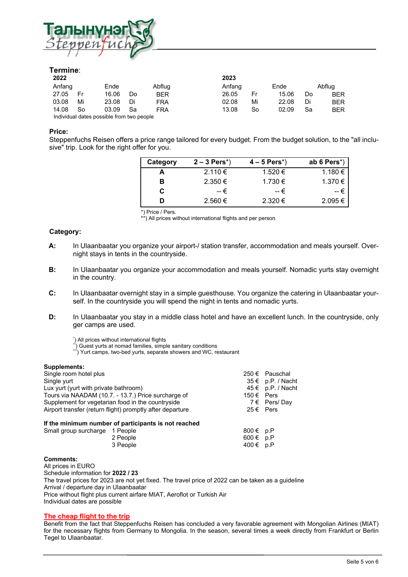![](_page_4_Picture_0.jpeg)

### **Termine**:

| 2022                                      |    |       |    |            | 2023   |    |       |    |            |
|-------------------------------------------|----|-------|----|------------|--------|----|-------|----|------------|
| Anfang                                    |    | Ende  |    | Abflug     | Anfang |    | Ende  |    | Abflua     |
| 27.05                                     | Fr | 16.06 | Do | <b>BER</b> | 26.05  | Fr | 15.06 | Do | <b>BER</b> |
| 03.08                                     | Mi | 23.08 | Di | <b>FRA</b> | 02.08  | Mi | 22.08 | Di | <b>BER</b> |
| 14.08                                     | So | 03.09 | Sa | <b>FRA</b> | 13.08  | So | 02.09 | Sa | <b>BER</b> |
| Individual dates possible from two people |    |       |    |            |        |    |       |    |            |

#### **Price:**

Steppenfuchs Reisen offers a price range tailored for every budget. From the budget solution, to the "all inclusive" trip. Look for the right offer for you.

| Category | $2 - 3$ Pers <sup>*</sup> ) | $4 - 5$ Pers <sup>*</sup> ) | ab 6 Pers $*)$ |
|----------|-----------------------------|-----------------------------|----------------|
|          | 2.110 €                     | 1.520 €                     | 1.180 €        |
| в        | $2.350 \in$                 | 1.730 €                     | 1.370 €        |
| C        | -- €                        | -- €                        | -- €           |
|          | $2.560 \in$                 | $2.320 \in$                 | $2.095 \in$    |

\*) Price / Pers.

\*\*) All prices without international flights and per person

#### **Category:**

- **A:** In Ulaanbaatar you organize your airport-/ station transfer, accommodation and meals yourself. Overnight stays in tents in the countryside.
- **B:** In Ulaanbaatar you organize your accommodation and meals yourself. Nomadic yurts stay overnight in the country.
- **C:** In Ulaanbaatar overnight stay in a simple guesthouse. You organize the catering in Ulaanbaatar yourself. In the countryside you will spend the night in tents and nomadic yurts.
- **D:** In Ulaanbaatar you stay in a middle class hotel and have an excellent lunch. In the countryside, only ger camps are used.

\*) All prices without international flights

<sup>\*</sup>) Guest yurts at nomad families, simple sanitary conditions \*\*<br>international families, simple sanitary conditions \*\*\*) Yurt camps, two-bed yurts, separate showers and WC, restaurant

#### **Supplements:**

| Single room hotel plus<br>$250 \in$ Pauschal              |               |                       |  |  |
|-----------------------------------------------------------|---------------|-----------------------|--|--|
|                                                           |               |                       |  |  |
| $35 \in p.P. / Nacht$<br>Single yurt                      |               |                       |  |  |
| Lux yurt (yurt with private bathroom)                     |               | $45 \in p.P.$ / Nacht |  |  |
| Tours via NAADAM (10.7. - 13.7.) Price surcharge of       | 150 € Pers    |                       |  |  |
| Supplement for vegetarian food in the countryside         |               | 7 $\epsilon$ Pers/Day |  |  |
| Airport transfer (return flight) promptly after departure | $25 \in$ Pers |                       |  |  |
| If the minimum number of participants is not reached      |               |                       |  |  |
| Small group surcharge 1 People                            | 800 € p.P     |                       |  |  |
| 2 People                                                  | $600 \in p.P$ |                       |  |  |
| 3 People                                                  | 400 € p.P     |                       |  |  |

#### **Comments:**

All prices in EURO Schedule information for **2022 / 23**  The travel prices for 2023 are not yet fixed. The travel price of 2022 can be taken as a guideline Arrival / departure day in Ulaanbaatar Price without flight plus current airfare MIAT, Aeroflot or Turkish Air Individual dates are possible

#### **The cheap flight to the trip**

Benefit from the fact that Steppenfuchs Reisen has concluded a very favorable agreement with Mongolian Airlines (MIAT) for the necessary flights from Germany to Mongolia. In the season, several times a week directly from Frankfurt or Berlin Tegel to Ulaanbaatar.